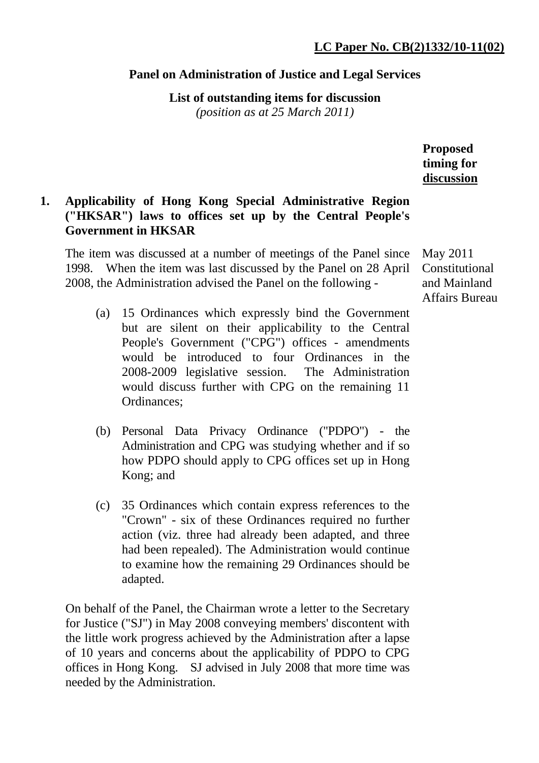## **Panel on Administration of Justice and Legal Services**

**List of outstanding items for discussion** 

*(position as at 25 March 2011)*

**Proposed timing for discussion**

# **1. Applicability of Hong Kong Special Administrative Region ("HKSAR") laws to offices set up by the Central People's Government in HKSAR**

The item was discussed at a number of meetings of the Panel since 1998. When the item was last discussed by the Panel on 28 April 2008, the Administration advised the Panel on the following -

- (a) 15 Ordinances which expressly bind the Government but are silent on their applicability to the Central People's Government ("CPG") offices - amendments would be introduced to four Ordinances in the 2008-2009 legislative session. The Administration would discuss further with CPG on the remaining 11 Ordinances;
- (b) Personal Data Privacy Ordinance ("PDPO") the Administration and CPG was studying whether and if so how PDPO should apply to CPG offices set up in Hong Kong; and
- (c) 35 Ordinances which contain express references to the "Crown" - six of these Ordinances required no further action (viz. three had already been adapted, and three had been repealed). The Administration would continue to examine how the remaining 29 Ordinances should be adapted.

On behalf of the Panel, the Chairman wrote a letter to the Secretary for Justice ("SJ") in May 2008 conveying members' discontent with the little work progress achieved by the Administration after a lapse of 10 years and concerns about the applicability of PDPO to CPG offices in Hong Kong. SJ advised in July 2008 that more time was needed by the Administration.

May 2011 Constitutional and Mainland Affairs Bureau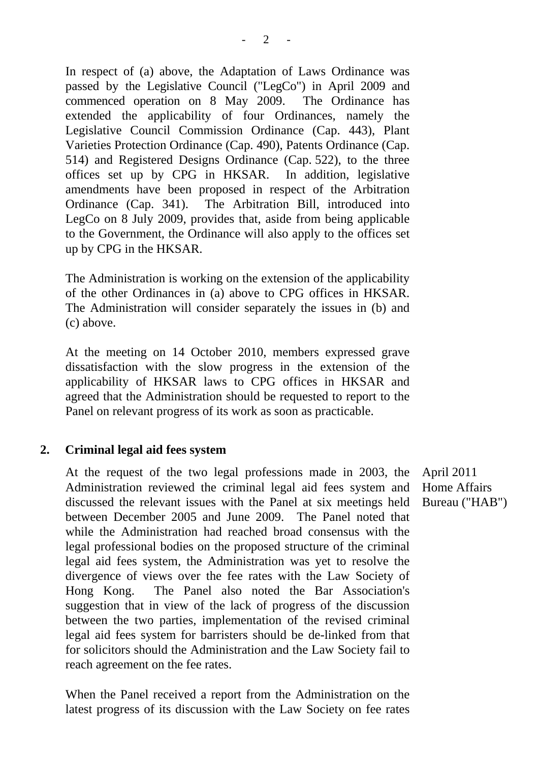In respect of (a) above, the Adaptation of Laws Ordinance was passed by the Legislative Council ("LegCo") in April 2009 and commenced operation on 8 May 2009. The Ordinance has extended the applicability of four Ordinances, namely the Legislative Council Commission Ordinance (Cap. 443), Plant Varieties Protection Ordinance (Cap. 490), Patents Ordinance (Cap. 514) and Registered Designs Ordinance (Cap. 522), to the three offices set up by CPG in HKSAR. In addition, legislative amendments have been proposed in respect of the Arbitration Ordinance (Cap. 341). The Arbitration Bill, introduced into LegCo on 8 July 2009, provides that, aside from being applicable to the Government, the Ordinance will also apply to the offices set up by CPG in the HKSAR.

The Administration is working on the extension of the applicability of the other Ordinances in (a) above to CPG offices in HKSAR. The Administration will consider separately the issues in (b) and (c) above.

At the meeting on 14 October 2010, members expressed grave dissatisfaction with the slow progress in the extension of the applicability of HKSAR laws to CPG offices in HKSAR and agreed that the Administration should be requested to report to the Panel on relevant progress of its work as soon as practicable.

## **2. Criminal legal aid fees system**

 At the request of the two legal professions made in 2003, the Administration reviewed the criminal legal aid fees system and discussed the relevant issues with the Panel at six meetings held between December 2005 and June 2009. The Panel noted that while the Administration had reached broad consensus with the legal professional bodies on the proposed structure of the criminal legal aid fees system, the Administration was yet to resolve the divergence of views over the fee rates with the Law Society of Hong Kong. The Panel also noted the Bar Association's suggestion that in view of the lack of progress of the discussion between the two parties, implementation of the revised criminal legal aid fees system for barristers should be de-linked from that for solicitors should the Administration and the Law Society fail to reach agreement on the fee rates.

When the Panel received a report from the Administration on the latest progress of its discussion with the Law Society on fee rates

April 2011 Home Affairs Bureau ("HAB")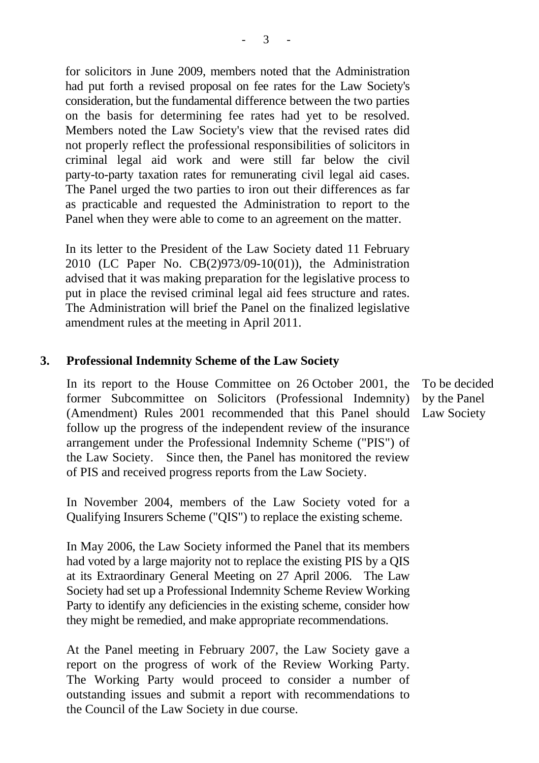for solicitors in June 2009, members noted that the Administration had put forth a revised proposal on fee rates for the Law Society's consideration, but the fundamental difference between the two parties on the basis for determining fee rates had yet to be resolved. Members noted the Law Society's view that the revised rates did not properly reflect the professional responsibilities of solicitors in criminal legal aid work and were still far below the civil party-to-party taxation rates for remunerating civil legal aid cases. The Panel urged the two parties to iron out their differences as far as practicable and requested the Administration to report to the Panel when they were able to come to an agreement on the matter.

In its letter to the President of the Law Society dated 11 February 2010 (LC Paper No. CB(2)973/09-10(01)), the Administration advised that it was making preparation for the legislative process to put in place the revised criminal legal aid fees structure and rates. The Administration will brief the Panel on the finalized legislative amendment rules at the meeting in April 2011.

#### **3. Professional Indemnity Scheme of the Law Society**

In its report to the House Committee on 26 October 2001, the former Subcommittee on Solicitors (Professional Indemnity) (Amendment) Rules 2001 recommended that this Panel should follow up the progress of the independent review of the insurance arrangement under the Professional Indemnity Scheme ("PIS") of the Law Society. Since then, the Panel has monitored the review of PIS and received progress reports from the Law Society.

In November 2004, members of the Law Society voted for a Qualifying Insurers Scheme ("QIS") to replace the existing scheme.

In May 2006, the Law Society informed the Panel that its members had voted by a large majority not to replace the existing PIS by a QIS at its Extraordinary General Meeting on 27 April 2006. The Law Society had set up a Professional Indemnity Scheme Review Working Party to identify any deficiencies in the existing scheme, consider how they might be remedied, and make appropriate recommendations.

At the Panel meeting in February 2007, the Law Society gave a report on the progress of work of the Review Working Party. The Working Party would proceed to consider a number of outstanding issues and submit a report with recommendations to the Council of the Law Society in due course.

To be decided by the Panel Law Society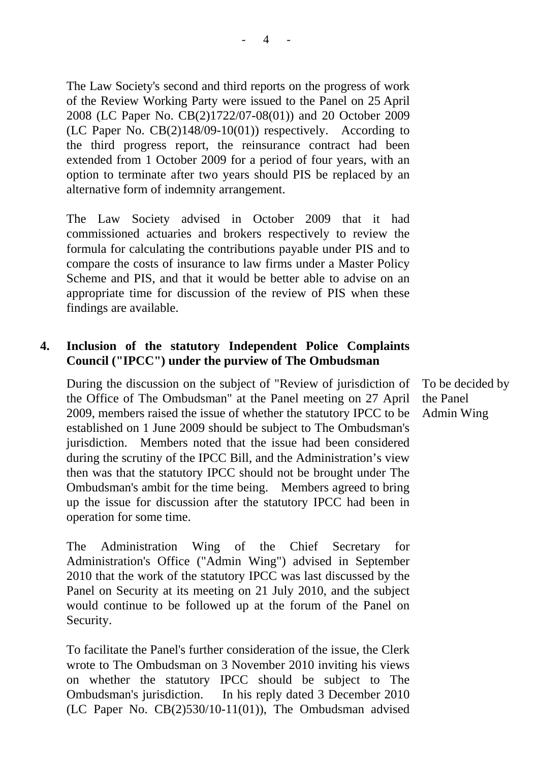The Law Society's second and third reports on the progress of work of the Review Working Party were issued to the Panel on 25 April 2008 (LC Paper No. CB(2)1722/07-08(01)) and 20 October 2009 (LC Paper No. CB(2)148/09-10(01)) respectively. According to the third progress report, the reinsurance contract had been extended from 1 October 2009 for a period of four years, with an option to terminate after two years should PIS be replaced by an alternative form of indemnity arrangement.

The Law Society advised in October 2009 that it had commissioned actuaries and brokers respectively to review the formula for calculating the contributions payable under PIS and to compare the costs of insurance to law firms under a Master Policy Scheme and PIS, and that it would be better able to advise on an appropriate time for discussion of the review of PIS when these findings are available.

## **4. Inclusion of the statutory Independent Police Complaints Council ("IPCC") under the purview of The Ombudsman**

During the discussion on the subject of "Review of jurisdiction of the Office of The Ombudsman" at the Panel meeting on 27 April 2009, members raised the issue of whether the statutory IPCC to be established on 1 June 2009 should be subject to The Ombudsman's jurisdiction. Members noted that the issue had been considered during the scrutiny of the IPCC Bill, and the Administration's view then was that the statutory IPCC should not be brought under The Ombudsman's ambit for the time being. Members agreed to bring up the issue for discussion after the statutory IPCC had been in operation for some time.

The Administration Wing of the Chief Secretary for Administration's Office ("Admin Wing") advised in September 2010 that the work of the statutory IPCC was last discussed by the Panel on Security at its meeting on 21 July 2010, and the subject would continue to be followed up at the forum of the Panel on Security.

To facilitate the Panel's further consideration of the issue, the Clerk wrote to The Ombudsman on 3 November 2010 inviting his views on whether the statutory IPCC should be subject to The Ombudsman's jurisdiction. In his reply dated 3 December 2010 (LC Paper No. CB(2)530/10-11(01)), The Ombudsman advised

To be decided by the Panel Admin Wing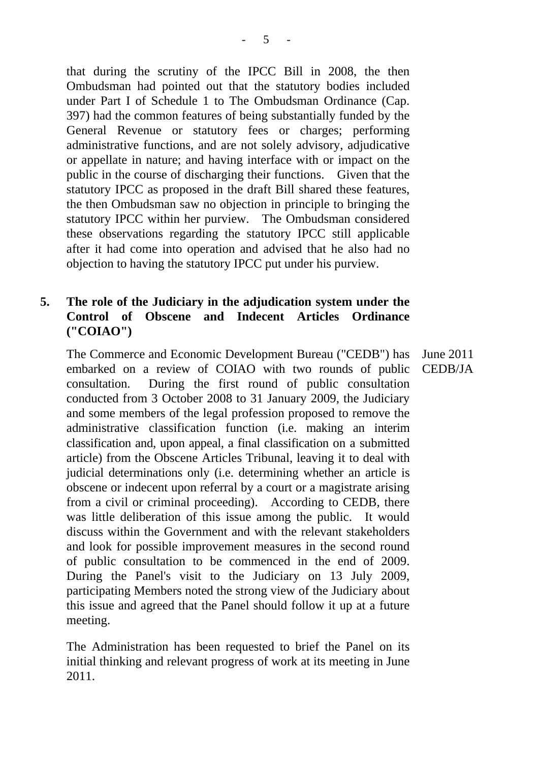that during the scrutiny of the IPCC Bill in 2008, the then Ombudsman had pointed out that the statutory bodies included under Part I of Schedule 1 to The Ombudsman Ordinance (Cap. 397) had the common features of being substantially funded by the General Revenue or statutory fees or charges; performing administrative functions, and are not solely advisory, adjudicative or appellate in nature; and having interface with or impact on the public in the course of discharging their functions. Given that the statutory IPCC as proposed in the draft Bill shared these features, the then Ombudsman saw no objection in principle to bringing the statutory IPCC within her purview. The Ombudsman considered these observations regarding the statutory IPCC still applicable after it had come into operation and advised that he also had no objection to having the statutory IPCC put under his purview.

# **5. The role of the Judiciary in the adjudication system under the Control of Obscene and Indecent Articles Ordinance ("COIAO")**

The Commerce and Economic Development Bureau ("CEDB") has embarked on a review of COIAO with two rounds of public consultation. During the first round of public consultation conducted from 3 October 2008 to 31 January 2009, the Judiciary and some members of the legal profession proposed to remove the administrative classification function (i.e. making an interim classification and, upon appeal, a final classification on a submitted article) from the Obscene Articles Tribunal, leaving it to deal with judicial determinations only (i.e. determining whether an article is obscene or indecent upon referral by a court or a magistrate arising from a civil or criminal proceeding). According to CEDB, there was little deliberation of this issue among the public. It would discuss within the Government and with the relevant stakeholders and look for possible improvement measures in the second round of public consultation to be commenced in the end of 2009. During the Panel's visit to the Judiciary on 13 July 2009, participating Members noted the strong view of the Judiciary about this issue and agreed that the Panel should follow it up at a future meeting. June 2011 CEDB/JA

The Administration has been requested to brief the Panel on its initial thinking and relevant progress of work at its meeting in June 2011.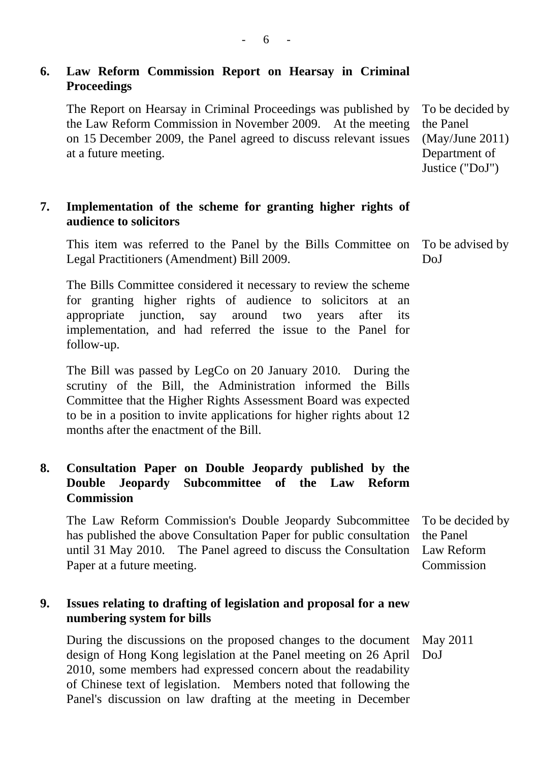# **6. Law Reform Commission Report on Hearsay in Criminal Proceedings**

The Report on Hearsay in Criminal Proceedings was published by the Law Reform Commission in November 2009. At the meeting on 15 December 2009, the Panel agreed to discuss relevant issues at a future meeting. To be decided by the Panel (May/June 2011) Department of

# **7. Implementation of the scheme for granting higher rights of audience to solicitors**

This item was referred to the Panel by the Bills Committee on Legal Practitioners (Amendment) Bill 2009.

The Bills Committee considered it necessary to review the scheme for granting higher rights of audience to solicitors at an appropriate junction, say around two years after its implementation, and had referred the issue to the Panel for follow-up.

The Bill was passed by LegCo on 20 January 2010. During the scrutiny of the Bill, the Administration informed the Bills Committee that the Higher Rights Assessment Board was expected to be in a position to invite applications for higher rights about 12 months after the enactment of the Bill.

# **8. Consultation Paper on Double Jeopardy published by the Double Jeopardy Subcommittee of the Law Reform Commission**

The Law Reform Commission's Double Jeopardy Subcommittee has published the above Consultation Paper for public consultation until 31 May 2010. The Panel agreed to discuss the Consultation Paper at a future meeting. To be decided by the Panel Law Reform Commission

## **9. Issues relating to drafting of legislation and proposal for a new numbering system for bills**

During the discussions on the proposed changes to the document design of Hong Kong legislation at the Panel meeting on 26 April 2010, some members had expressed concern about the readability of Chinese text of legislation. Members noted that following the Panel's discussion on law drafting at the meeting in December May 2011 DoJ

To be advised by DoJ

Justice ("DoJ")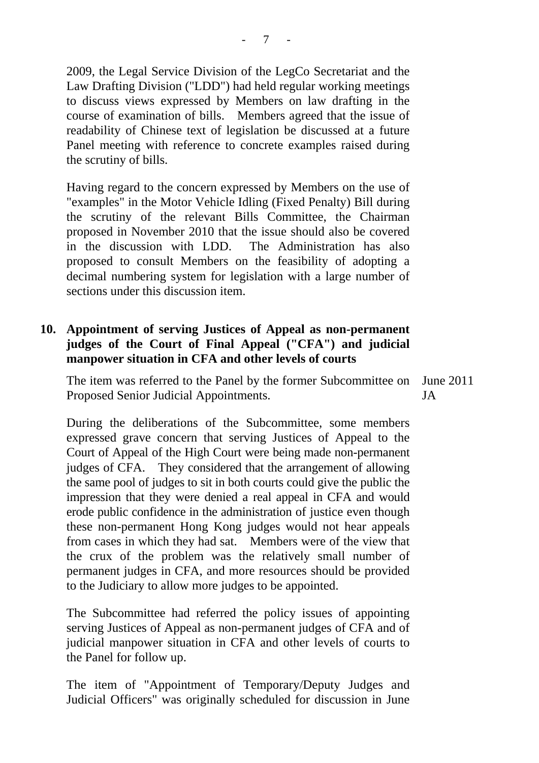2009, the Legal Service Division of the LegCo Secretariat and the Law Drafting Division ("LDD") had held regular working meetings to discuss views expressed by Members on law drafting in the course of examination of bills. Members agreed that the issue of readability of Chinese text of legislation be discussed at a future Panel meeting with reference to concrete examples raised during the scrutiny of bills.

Having regard to the concern expressed by Members on the use of "examples" in the Motor Vehicle Idling (Fixed Penalty) Bill during the scrutiny of the relevant Bills Committee, the Chairman proposed in November 2010 that the issue should also be covered in the discussion with LDD. The Administration has also proposed to consult Members on the feasibility of adopting a decimal numbering system for legislation with a large number of sections under this discussion item.

## **10. Appointment of serving Justices of Appeal as non-permanent judges of the Court of Final Appeal ("CFA") and judicial manpower situation in CFA and other levels of courts**

The item was referred to the Panel by the former Subcommittee on June 2011 Proposed Senior Judicial Appointments. JA

During the deliberations of the Subcommittee, some members expressed grave concern that serving Justices of Appeal to the Court of Appeal of the High Court were being made non-permanent judges of CFA. They considered that the arrangement of allowing the same pool of judges to sit in both courts could give the public the impression that they were denied a real appeal in CFA and would erode public confidence in the administration of justice even though these non-permanent Hong Kong judges would not hear appeals from cases in which they had sat. Members were of the view that the crux of the problem was the relatively small number of permanent judges in CFA, and more resources should be provided to the Judiciary to allow more judges to be appointed.

The Subcommittee had referred the policy issues of appointing serving Justices of Appeal as non-permanent judges of CFA and of judicial manpower situation in CFA and other levels of courts to the Panel for follow up.

The item of "Appointment of Temporary/Deputy Judges and Judicial Officers" was originally scheduled for discussion in June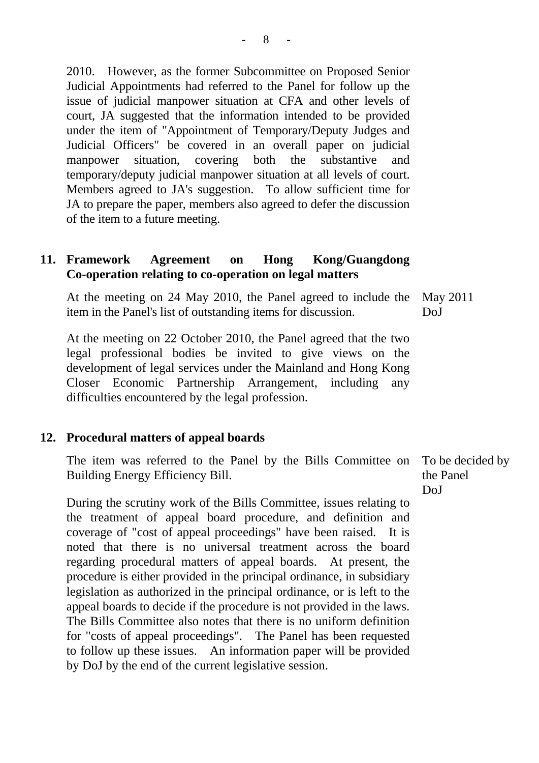2010. However, as the former Subcommittee on Proposed Senior Judicial Appointments had referred to the Panel for follow up the issue of judicial manpower situation at CFA and other levels of court, JA suggested that the information intended to be provided under the item of "Appointment of Temporary/Deputy Judges and Judicial Officers" be covered in an overall paper on judicial manpower situation, covering both the substantive and temporary/deputy judicial manpower situation at all levels of court. Members agreed to JA's suggestion. To allow sufficient time for JA to prepare the paper, members also agreed to defer the discussion of the item to a future meeting.

## **11. Framework Agreement on Hong Kong/Guangdong Co-operation relating to co-operation on legal matters**

At the meeting on 24 May 2010, the Panel agreed to include the item in the Panel's list of outstanding items for discussion. May 2011 DoJ

At the meeting on 22 October 2010, the Panel agreed that the two legal professional bodies be invited to give views on the development of legal services under the Mainland and Hong Kong Closer Economic Partnership Arrangement, including any difficulties encountered by the legal profession.

#### **12. Procedural matters of appeal boards**

The item was referred to the Panel by the Bills Committee on Building Energy Efficiency Bill.

During the scrutiny work of the Bills Committee, issues relating to the treatment of appeal board procedure, and definition and coverage of "cost of appeal proceedings" have been raised. It is noted that there is no universal treatment across the board regarding procedural matters of appeal boards. At present, the procedure is either provided in the principal ordinance, in subsidiary legislation as authorized in the principal ordinance, or is left to the appeal boards to decide if the procedure is not provided in the laws. The Bills Committee also notes that there is no uniform definition for "costs of appeal proceedings". The Panel has been requested to follow up these issues. An information paper will be provided by DoJ by the end of the current legislative session.

To be decided by the Panel DoJ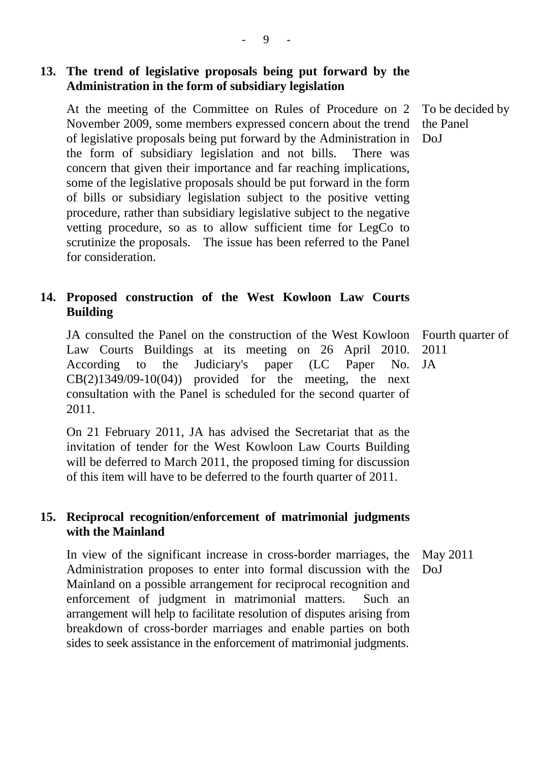# **13. The trend of legislative proposals being put forward by the Administration in the form of subsidiary legislation**

At the meeting of the Committee on Rules of Procedure on 2 November 2009, some members expressed concern about the trend of legislative proposals being put forward by the Administration in the form of subsidiary legislation and not bills. There was concern that given their importance and far reaching implications, some of the legislative proposals should be put forward in the form of bills or subsidiary legislation subject to the positive vetting procedure, rather than subsidiary legislative subject to the negative vetting procedure, so as to allow sufficient time for LegCo to scrutinize the proposals. The issue has been referred to the Panel for consideration.

# **14. Proposed construction of the West Kowloon Law Courts Building**

JA consulted the Panel on the construction of the West Kowloon Law Courts Buildings at its meeting on 26 April 2010. According to the Judiciary's paper (LC Paper No.  $CB(2)1349/09-10(04)$  provided for the meeting, the next consultation with the Panel is scheduled for the second quarter of 2011. JA

On 21 February 2011, JA has advised the Secretariat that as the invitation of tender for the West Kowloon Law Courts Building will be deferred to March 2011, the proposed timing for discussion of this item will have to be deferred to the fourth quarter of 2011.

# **15. Reciprocal recognition/enforcement of matrimonial judgments with the Mainland**

In view of the significant increase in cross-border marriages, the Administration proposes to enter into formal discussion with the Mainland on a possible arrangement for reciprocal recognition and enforcement of judgment in matrimonial matters. Such an arrangement will help to facilitate resolution of disputes arising from breakdown of cross-border marriages and enable parties on both sides to seek assistance in the enforcement of matrimonial judgments. May 2011 DoJ

To be decided by the Panel DoJ

Fourth quarter of

2011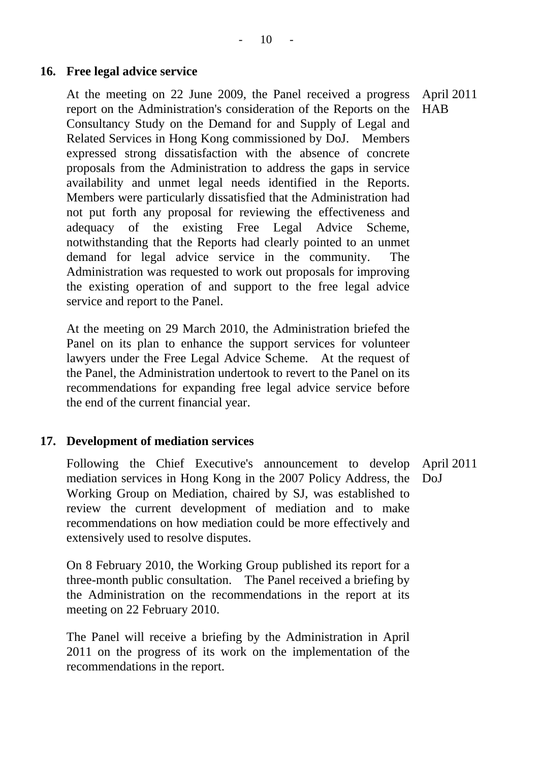#### **16. Free legal advice service**

At the meeting on 22 June 2009, the Panel received a progress report on the Administration's consideration of the Reports on the Consultancy Study on the Demand for and Supply of Legal and Related Services in Hong Kong commissioned by DoJ. Members expressed strong dissatisfaction with the absence of concrete proposals from the Administration to address the gaps in service availability and unmet legal needs identified in the Reports. Members were particularly dissatisfied that the Administration had not put forth any proposal for reviewing the effectiveness and adequacy of the existing Free Legal Advice Scheme, notwithstanding that the Reports had clearly pointed to an unmet demand for legal advice service in the community. The Administration was requested to work out proposals for improving the existing operation of and support to the free legal advice service and report to the Panel. April 2011 **HAB** 

At the meeting on 29 March 2010, the Administration briefed the Panel on its plan to enhance the support services for volunteer lawyers under the Free Legal Advice Scheme. At the request of the Panel, the Administration undertook to revert to the Panel on its recommendations for expanding free legal advice service before the end of the current financial year.

## **17. Development of mediation services**

Following the Chief Executive's announcement to develop mediation services in Hong Kong in the 2007 Policy Address, the Working Group on Mediation, chaired by SJ, was established to review the current development of mediation and to make recommendations on how mediation could be more effectively and extensively used to resolve disputes. April 2011 DoJ

On 8 February 2010, the Working Group published its report for a three-month public consultation. The Panel received a briefing by the Administration on the recommendations in the report at its meeting on 22 February 2010.

The Panel will receive a briefing by the Administration in April 2011 on the progress of its work on the implementation of the recommendations in the report.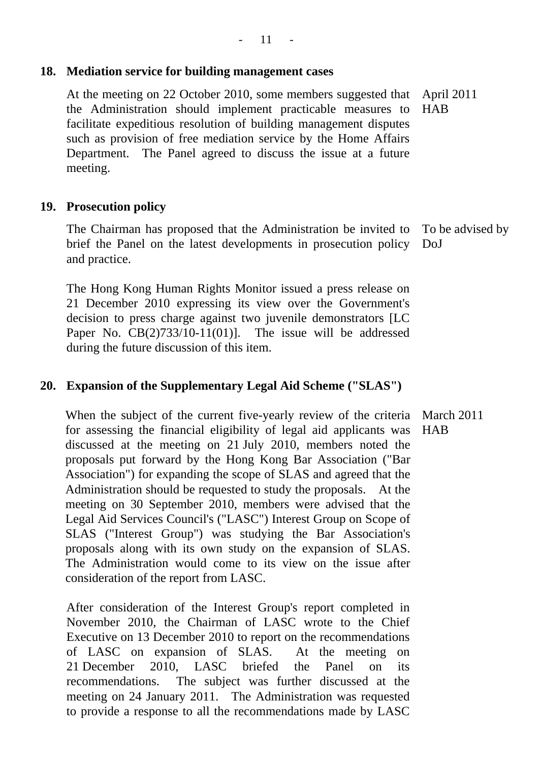# **18. Mediation service for building management cases**

At the meeting on 22 October 2010, some members suggested that April 2011 the Administration should implement practicable measures to facilitate expeditious resolution of building management disputes such as provision of free mediation service by the Home Affairs Department. The Panel agreed to discuss the issue at a future meeting. **HAB** 

# **19. Prosecution policy**

The Chairman has proposed that the Administration be invited to brief the Panel on the latest developments in prosecution policy and practice. To be advised by DoJ

The Hong Kong Human Rights Monitor issued a press release on 21 December 2010 expressing its view over the Government's decision to press charge against two juvenile demonstrators [LC Paper No. CB(2)733/10-11(01)]. The issue will be addressed during the future discussion of this item.

# **20. Expansion of the Supplementary Legal Aid Scheme ("SLAS")**

When the subject of the current five-yearly review of the criteria March 2011 for assessing the financial eligibility of legal aid applicants was discussed at the meeting on 21 July 2010, members noted the proposals put forward by the Hong Kong Bar Association ("Bar Association") for expanding the scope of SLAS and agreed that the Administration should be requested to study the proposals. At the meeting on 30 September 2010, members were advised that the Legal Aid Services Council's ("LASC") Interest Group on Scope of SLAS ("Interest Group") was studying the Bar Association's proposals along with its own study on the expansion of SLAS. The Administration would come to its view on the issue after consideration of the report from LASC. HAB

After consideration of the Interest Group's report completed in November 2010, the Chairman of LASC wrote to the Chief Executive on 13 December 2010 to report on the recommendations of LASC on expansion of SLAS. At the meeting on 21 December 2010, LASC briefed the Panel on its recommendations. The subject was further discussed at the meeting on 24 January 2011. The Administration was requested to provide a response to all the recommendations made by LASC